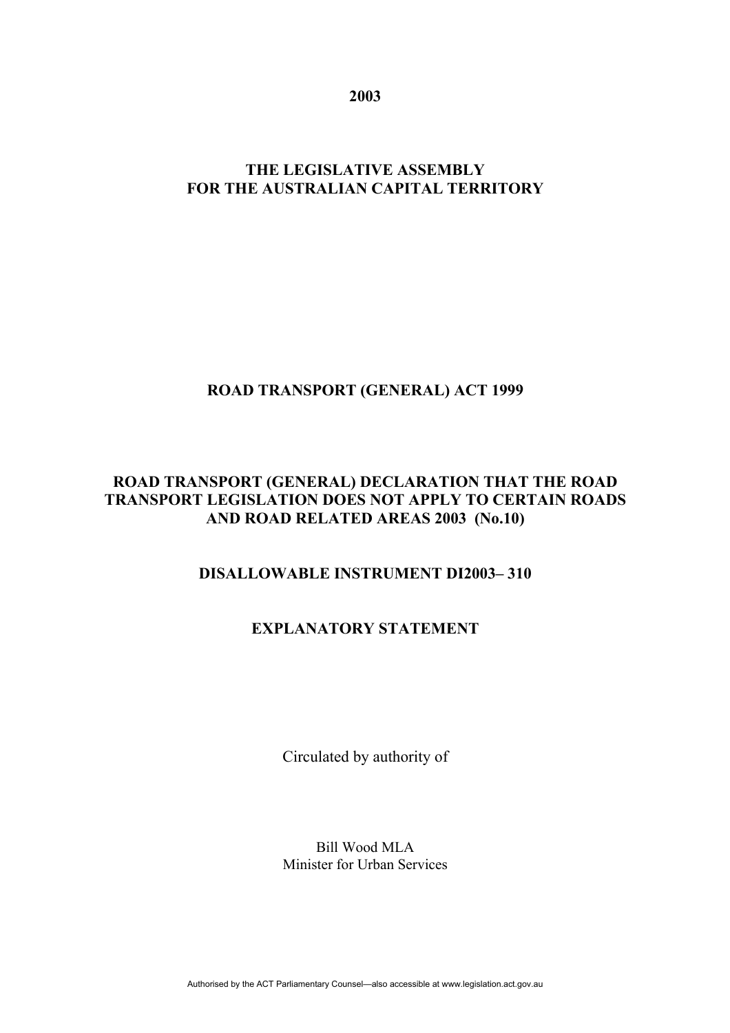**2003** 

# **THE LEGISLATIVE ASSEMBLY FOR THE AUSTRALIAN CAPITAL TERRITORY**

### **ROAD TRANSPORT (GENERAL) ACT 1999**

#### **ROAD TRANSPORT (GENERAL) DECLARATION THAT THE ROAD TRANSPORT LEGISLATION DOES NOT APPLY TO CERTAIN ROADS AND ROAD RELATED AREAS 2003 (No.10)**

# **DISALLOWABLE INSTRUMENT DI2003– 310**

# **EXPLANATORY STATEMENT**

Circulated by authority of

Bill Wood MLA Minister for Urban Services

Authorised by the ACT Parliamentary Counsel—also accessible at www.legislation.act.gov.au